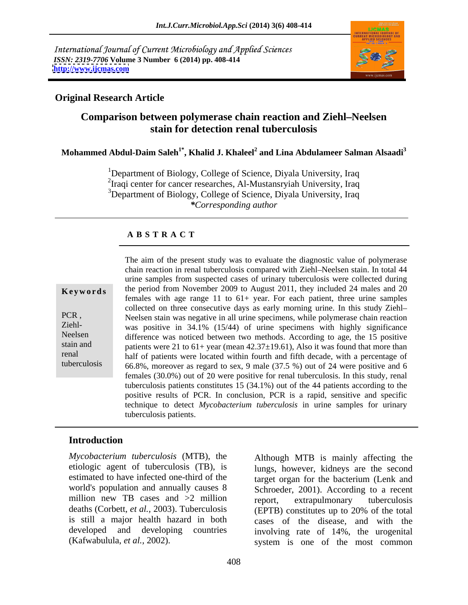International Journal of Current Microbiology and Applied Sciences *ISSN: 2319-7706* **Volume 3 Number 6 (2014) pp. 408-414 <http://www.ijcmas.com>**



### **Original Research Article**

# **Comparison between polymerase chain reaction and Ziehl Neelsen stain for detection renal tuberculosis**

**Mohammed Abdul-Daim Saleh1\* , Khalid J. Khaleel<sup>2</sup> and Lina Abdulameer Salman Alsaadi<sup>3</sup>**

<sup>1</sup>Department of Biology, College of Science, Diyala University, Iraq <sup>2</sup>Iraqi center for cancer researches, Al-Mustansryiah University, Iraq <sup>3</sup>Department of Biology, College of Science, Diyala University, Iraq *\*Corresponding author*

### **A B S T R A C T**

**Keywords** the period from November 2009 to August 2011, they included 24 males and 20 PCR, Neelsen stain was negative in all urine specimens, while polymerase chain reaction Ziehl-<br>was positive in 34.1% (15/44) of urine specimens with highly significance Neelsen difference was noticed between two methods. According to age, the 15 positive stain and patients were 21 to  $61+$  year (mean  $42.37\pm19.61$ ), Also it was found that more than renal half of patients were located within fourth and fifth decade, with a percentage of tuberculosis  $\overline{66.8\%}$ , moreover as regard to sex, 9 male (37.5 %) out of 24 were positive and 6 The aim of the present study was to evaluate the diagnostic value of polymerase chain reaction in renal tuberculosis compared with Ziehl-Neelsen stain. In total 44 urine samples from suspected cases of urinary tuberculosis were collected during females with age range  $11$  to  $61+$  year. For each patient, three urine samples collected on three consecutive days as early morning urine. In this study Ziehl females  $(30.0\%)$  out of 20 were positive for renal tuberculosis. In this study, renal tuberculosis patients constitutes 15 (34.1%) out of the 44 patients according to the positive results of PCR. In conclusion, PCR is a rapid, sensitive and specific technique to detect *Mycobacterium tuberculosis* in urine samples for urinary tuberculosis patients.

### **Introduction**

*Mycobacterium tuberculosis* (MTB), the etiologic agent of tuberculosis (TB), is million new TB cases and >2 million report, extrapulmonary tuberculosis deaths (Corbett, *et al.,* 2003). Tuberculosis

estimated to have infected one-third of the target organ for the bacterium (Lenk and world's population and annually causes 8 Schroeder, 2001). According to a recent is still a major health hazard in both cases of the disease, and with the developed and developing countries involving rate of 14%, the urogenital *Mycobacterium tuberculosis* (MTB), the<br>
etiologic agent of tuberculosis (TB), is<br>
estimated to have infected one-third of the<br>
world's population and annually causes 8<br>
million new TB cases and >2 million<br>
deaths (Corbett lungs, however, kidneys are the second report, extrapulmonary tuberculosis (EPTB) constitutes up to 20% of the total system is one of the most common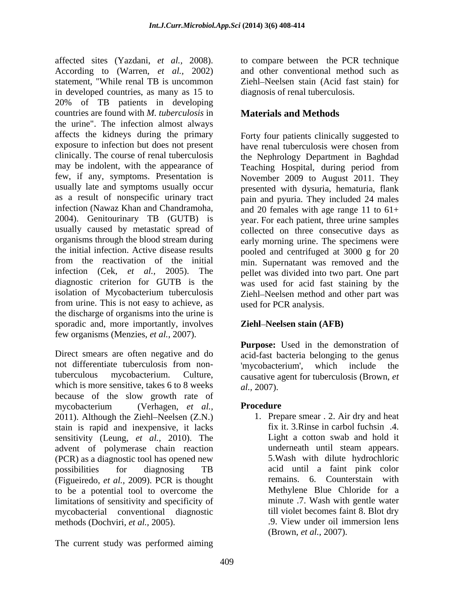affected sites (Yazdani, *et al.,* 2008). According to (Warren, *et al.,* 2002) statement, "While renal TB is uncommon in developed countries, as many as 15 to 20% of TB patients in developing countries are found with *M. tuberculosis* in the urine". The infection almost always affects the kidneys during the primary exposure to infection but does not present have renal tuberculosis were chosen from clinically. The course of renal tuberculosis may be indolent, with the appearance of few, if any, symptoms. Presentation is November 2009 to August 2011. They usually late and symptoms usually occur presented with dysuria, hematuria, flank as a result of nonspecific urinary tract pain and pyuria. They included 24 males infection (Nawaz Khan and Chandramoha, and 20 females with age range 11 to 61+<br>2004). Genitourinary TB (GUTB) is vear. For each patient, three urine samples usually caused by metastatic spread of collected on three consecutive days as organisms through the blood stream during early morning urine. The specimens were the initial infection. Active disease results pooled and centrifuged at 3000 g for 20 from the reactivation of the initial min. Supernatant was removed and the infection (Cek, *et al.,* 2005). The pellet was divided into two part. One part diagnostic criterion for GUTB is the was used for acid fast staining by the isolation of Mycobacterium tuberculosis from urine. This is not easy to achieve, as the discharge of organisms into the urine is sporadic and, more importantly, involves few organisms (Menzies, *et al.,* 2007).

Direct smears are often negative and do not differentiate tuberculosis from non-<br>mycobacterium', which include the tuberculous mycobacterium. Culture, causative agent for tuberculosis (Brown, *et*  which is more sensitive, takes 6 to 8 weeks  $al., 2007$ . because of the slow growth rate of mycobacterium (Verhagen, *et al.,*  $2011$ ). Although the Ziehl–Neelsen  $(Z.N.)$ stain is rapid and inexpensive, it lacks sensitivity (Leung, *et al.,* 2010). The advent of polymerase chain reaction (PCR) as a diagnostic tool has opened new possibilities for diagnosing TB (Figueiredo, *et al.,* 2009). PCR is thought to be a potential tool to overcome the limitations of sensitivity and specificity of mycobacterial conventional diagnostic till violet becomes faint 8. Blot dry<br>methods (Dochviri. *et al.*, 2005). 9. View under oil immersion lens methods (Dochviri, *et al.,* 2005).

The current study was performed aiming

to compare between the PCR technique and other conventional method such as Ziehl-Neelsen stain (Acid fast stain) for diagnosis of renal tuberculosis.

# **Materials and Methods**

Forty four patients clinically suggested to have renal tuberculosis were chosen from the Nephrology Department in Baghdad Teaching Hospital, during period from and 20 females with age range 11 to 61+ year. For each patient, three urine samples Ziehl-Neelsen method and other part was used for PCR analysis.

## **Ziehl–Neelsen stain (AFB)**

Purpose: Used in the demonstration of acid-fast bacteria belonging to the genus 'mycobacterium', which include the *al.,* 2007).

## **Procedure**

1. Prepare smear . 2. Air dry and heat fix it. 3.Rinse in carbol fuchsin .4. Light a cotton swab and hold it underneath until steam appears. 5.Wash with dilute hydrochloric acid until a faint pink color remains. 6. Counterstain with Methylene Blue Chloride for a minute .7. Wash with gentle water till violet becomes faint 8. Blot dry .9. View under oil immersion lens (Brown, *et al.,* 2007).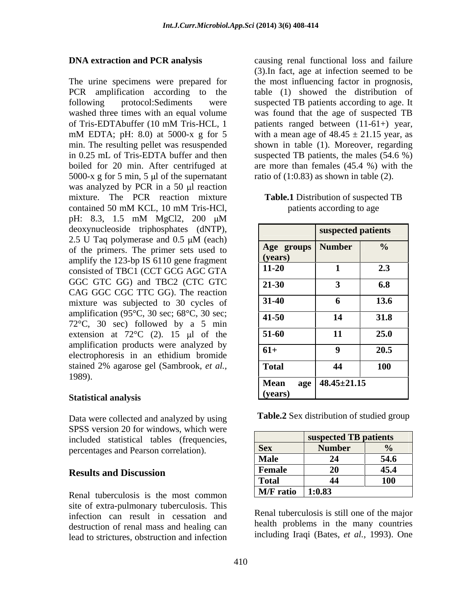The urine specimens were prepared for the most influencing factor in prognosis, PCR amplification according to the table (1) showed the distribution of following protocol:Sediments were suspected TB patients according to age. It washed three times with an equal volume wasfound that the age of suspected TB of Tris-EDTAbuffer (10 mM Tris-HCL, 1 mM EDTA; pH: 8.0) at 5000-x g for 5 with a mean age of  $48.45 \pm 21.15$  year, as min. The resulting pellet was resuspended shown in table (1). Moreover, regarding in 0.25 mL of Tris-EDTA buffer and then suspected TB patients, the males (54.6 %) boiled for 20 min. After centrifuged at are more than females (45.4 %) with the 5000-x g for 5 min, 5  $\mu$ l of the supernatant was analyzed by PCR in a 50 µl reaction mixture. The PCR reaction mixture contained 50 mM KCL, 10 mM Tris-HCl, pH: 8.3, 1.5 mM MgCl2, 200 μM deoxynucleoside triphosphates (dNTP), 2.5 U Taq polymerase and  $0.5 \mu M$  (each) of the primers. The primer sets used to amplify the 123-bp IS 6110 gene fragment consisted of TBC1 (CCT GCG AGC GTA GGC GTC GG) and TBC2 (CTC GTC CAG GGC CGC TTC GG). The reaction mixture was subjected to 30 cycles of amplification (95°C, 30 sec; 68°C, 30 sec; 72°C, 30 sec) followed by a 5 min extension at  $72^{\circ}$ C (2). 15 µl of the amplification products were analyzed by electrophoresis in an ethidium bromide stained 2% agarose gel (Sambrook, *et al.*,  $\qquad \qquad$  **Total**  $\qquad$  **44**  $\qquad$  **100** 1989).

Data were collected and analyzed by using SPSS version 20 for windows, which were included statistical tables (frequencies, percentages and Pearson correlation).

Renal tuberculosis is the most common site of extra-pulmonary tuberculosis. This infection can result in cessation and destruction of renal mass and healing can lead to strictures, obstruction and infection

**DNA extraction and PCR analysis** causing renal functional loss and failure (3).In fact, age at infection seemed to be patients ranged between (11-61+) year, ratio of  $(1:0.83)$  as shown in table  $(2)$ .

**Table.1** Distribution of suspected TB patients according to age

|                         | suspected patients     |                |
|-------------------------|------------------------|----------------|
| Age groups Number       |                        | $\frac{6}{10}$ |
|                         |                        |                |
| $\frac{(years)}{11-20}$ |                        | 2.3            |
| $21-30$                 |                        | 6.8            |
| $31-40$                 |                        | 13.6           |
| $ 41-50$                | 11                     | 31.8           |
| $51-60$                 |                        | 25.0           |
| $ 61+$                  |                        | 20.5           |
| <b>Total</b>            | $\boldsymbol{\Lambda}$ | <b>100</b>     |
| Mean                    | $\log$ 48.45±21.15     |                |
| (years)                 |                        |                |

**Table.2** Sex distribution of studied group

| $51.55$ version zo for windows, which were |                                  |                       |            |
|--------------------------------------------|----------------------------------|-----------------------|------------|
| included statistical tables (frequencies,  |                                  | suspected TB patients |            |
| percentages and Pearson correlation).      |                                  | <b>Number</b>         |            |
|                                            | $M_{\odot}$ l                    |                       | 54.6       |
| <b>Results and Discussion</b>              |                                  |                       | 45.4       |
|                                            |                                  |                       | <b>100</b> |
| Renal tuberculosis is the most common      | $\vert$ M/F ratio $\vert$ 1:0.83 |                       |            |

Renal tuberculosis is still one of the major health problems in the many countries including Iraqi (Bates, *et al.*, 1993). One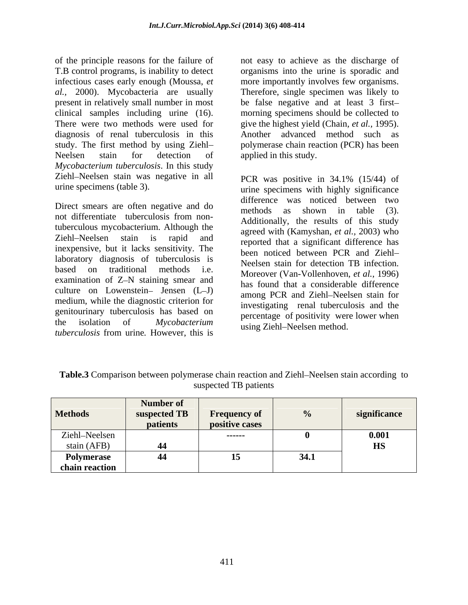of the principle reasons for the failure of not easy to achieve as the discharge of T.B control programs, is inability to detect infectious cases early enough (Moussa, *et*  more importantly involves few organisms. *al.,* 2000). Mycobacteria are usually Therefore, single specimen was likely to present in relatively small number in most be false negative and at least 3 first clinical samples including urine (16). morning specimens should be collected to There were two methods were used for give the highest yield (Chain, *et al.*, 1995). diagnosis of renal tuberculosis in this study. The first method by using Ziehl polymerase chain reaction (PCR) has been Neelsen stain for detection of applied in this study. *Mycobacterium tuberculosis*. In this study Ziehl-Neelsen stain was negative in all PCR was positive in 34.1% (15/44) of

Direct smears are often negative and do<br>methods as shown in table (3). not differentiate tuberculosis from nontuberculous mycobacterium. Although the Ziehl-Neelsen stain is rapid and reported that a significant difference has inexpensive, but it lacks sensitivity. The laboratory diagnosis of tuberculosis is<br>
Neelsen stain for detection TB infection. based on traditional methods i.e. Moreover (Van-Vollenhoven, *et al.*, 1996) examination of Z-N staining smear and culture on Lowenstein- Jensen  $(L-J)$ medium, while the diagnostic criterion for genitourinary tuberculosis has based on the isolation of *Mycobacterium tuberculosis* from urine*.* However, this is

organisms into the urine is sporadic and Another advanced method such as applied in this study.

urine specimens (table 3). urine specimens with highly significance PCR was positive in 34.1% (15/44) of difference was noticed between two methods as shown in table (3). Additionally, the results of this study agreed with (Kamyshan, *et al.,* 2003) who been noticed between PCR and Ziehl Neelsen stain for detection TB infection. Moreover (Van-Vollenhoven, *et al.,* 1996) has found that a considerable difference among PCR and Ziehl-Neelsen stain for investigating renal tuberculosis and the percentage of positivity were lower when using Ziehl-Neelsen method.

| <b>Methods</b> | Number of<br>suspected TB | <b>Frequency of</b> |      | significance                            |
|----------------|---------------------------|---------------------|------|-----------------------------------------|
|                | patients                  | positive cases      |      |                                         |
| Ziehl-Neelsen  |                           | ------              |      | 0.001                                   |
| stain (AFB)    |                           |                     |      | $\mathbf{r}$ $\mathbf{r}$ $\alpha$<br>ᄖ |
| Polymerase     |                           |                     | 34.1 |                                         |
| chain reaction |                           |                     |      |                                         |

**Table.3** Comparison between polymerase chain reaction and Ziehl–Neelsen stain according to suspected TB patients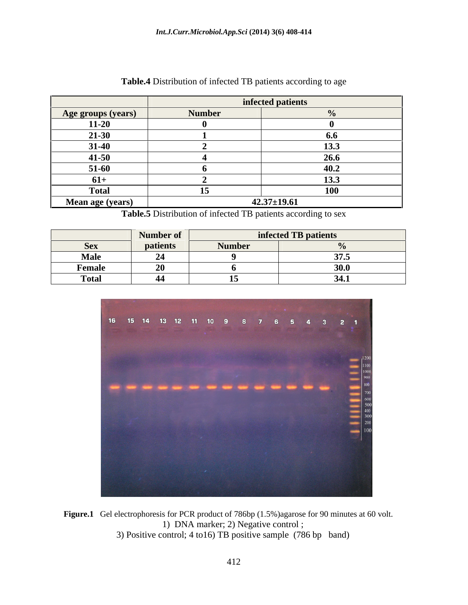|                           |        | infected patients |
|---------------------------|--------|-------------------|
| <b>Age groups (years)</b> | Numher |                   |
| $11-20$                   |        |                   |
| 21.20                     |        |                   |
| -31-46                    |        |                   |
| 41-50                     |        | 20.               |
| 51-60                     |        |                   |
| 61+                       |        | $12.2$            |
| Total                     |        |                   |
| <b>Mean age (years)</b>   |        | $42.37 \pm 19.61$ |

| <b>Table.4</b> Distribution of infected TB patients according to age<br>$\overline{\phantom{a}}$ |  |  |
|--------------------------------------------------------------------------------------------------|--|--|
|                                                                                                  |  |  |

**Table.5** Distribution of infected TB patients according to sex

|              | Number of                |    | infected TB patien       |
|--------------|--------------------------|----|--------------------------|
| <b>Sex</b>   |                          |    |                          |
| <b>NT.I.</b> | $\overline{\phantom{a}}$ |    |                          |
| Femal        |                          |    |                          |
| Total        |                          | -- | $241$<br>$\sim$ , $\sim$ |



Figure.1 Gel electrophoresis for PCR product of 786bp (1.5%)agarose for 90 minutes at 60 volt. 1) DNA marker; 2) Negative control ; 3) Positive control; 4 to16) TB positive sample (786 bp band)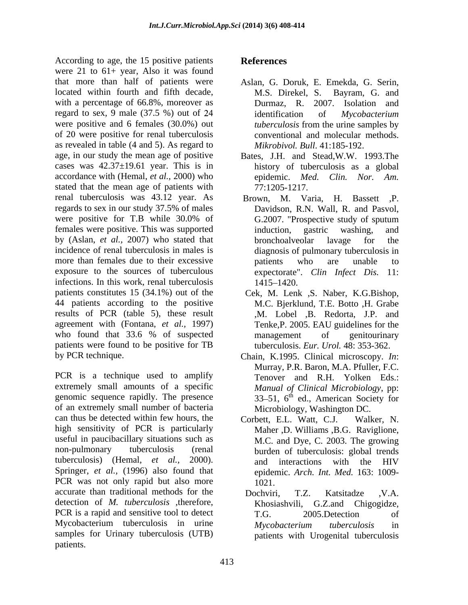According to age, the 15 positive patients References were 21 to 61+ year, Also it was found that more than half of patients were located within fourth and fifth decade, M.S. Direkel, S. Bayram, G. and with a percentage of 66.8%, moreover as  $Durnaz$ , R. 2007. Isolation and regard to sex, 9 male (37.5 %) out of 24 identification of Mycobacterium were positive and 6 females (30.0%) out *tuberculosis* from the urine samples by of 20 were positive for renal tuberculosis as revealed in table (4 and 5). As regard to age, in our study the mean age of positive cases was  $42.37 \pm 19.61$  year. This is in accordance with (Hemal, *et al.*, 2000) who epidemic. Med. stated that the mean age of patients with  $77:1205-1217$ . renal tuberculosis was 43.12 year. As regards to sex in our study 37.5% of males Davidson, R.N. Wall, R. and Pasvol, were positive for T.B while 30.0% of G.2007. "Prospective study of sputum females were positive. This was supported induction, gastric washing, and by (Aslan, *et al.,* 2007) who stated that incidence of renal tuberculosis in males is more than females due to their excessive bation between the same unable to exposure to the sources of tuberculous expectorate". Clin Infect Dis. 11: infections. In this work, renal tuberculosis 1415–1420. patients constitutes 15 (34.1%) out of the Cek, M. Lenk ,S. Naber, K.G.Bishop, 44 patients according to the positive results of PCR (table 5), these result agreement with (Fontana, *et al.,* 1997) who found that 33.6 % of suspected management of genitourinary patients were found to be positive for TB

PCR is a technique used to amplify extremely small amounts of a specific genomic sequence rapidly. The presence of an extremely small number of bacteria can thus be detected within few hours, the corbett, E.L. Watt, C.J. Walker, N. high sensitivity of PCR is particularly useful in paucibacillary situations such as non-pulmonary tuberculosis (renal burden of tuberculosis: global trends tuberculosis) (Hemal, *et al.*, 2000). and interactions with the HIV<br>Springer, *et al.*, (1996) also found that epidemic. *Arch. Int. Med.* 163: 1009-PCR was not only rapid but also more  $1021$ . accurate than traditional methods for the Dochviri. T.Z. Katsitadze .V.A. detection of *M. tuberculosis ,*therefore, PCR is a rapid and sensitive tool to detect T.G. 2005. Detection of Mycobacterium tuberculosis in urine *Mycobacterium tuberculosis* in samples for Urinary tuberculosis (UTB) patients.

# **References**

- Aslan, G. Doruk, E. Emekda, G. Serin, M.S. Direkel, S. Bayram, G. and Durmaz, R. 2007. Isolation and identification of *Mycobacterium tuberculosis* from the urine samples by conventional and molecular methods. *Mikrobivol. Bull*. 41:185-192.
- Bates, J.H. and Stead,W.W. 1993.The history of tuberculosis as a global epidemic. *Med. Clin. Nor. Am.* 77:1205-1217.
- Brown, M. Varia, H. Bassett ,P. Davidson, R.N. Wall, R. and Pasvol, G.2007. "Prospective study of sputum induction, gastric washing, and bronchoalveolar lavage for the diagnosis of pulmonary tuberculosis in patients who are unable to expectorate". *Clin Infect Dis.* 1415–1420.
- M.C. Bjerklund, T.E. Botto ,H. Grabe ,M. Lobel ,B. Redorta, J.P. and Tenke,P. 2005. EAU guidelines for the management of genitourinary tuberculosis. *Eur. Urol.* 48: 353-362.
- by PCR technique. Chain, K.1995. Clinical microscopy. *In*: Murray, P.R. Baron, M.A. Pfuller, F.C. Tenover and R.H. Yolken Eds.: *Manual of Clinical Microbiology*, pp:  $33-51$ ,  $6<sup>th</sup>$  ed., American Society for Microbiology, Washington DC.
	- Corbett, E.L. Watt, C.J. Maher ,D. Williams ,B.G. Raviglione, M.C. and Dye, C. 2003. The growing and interactions with the HIV epidemic. *Arch. Int. Med.* 163: 1009- 1021.
	- Dochviri, T.Z. Katsitadze ,V.A. Khosiashvili, G.Z.and Chigogidze, T.G. 2005.Detection of *Mycobacterium tuberculosis* in patients with Urogenital tuberculosis